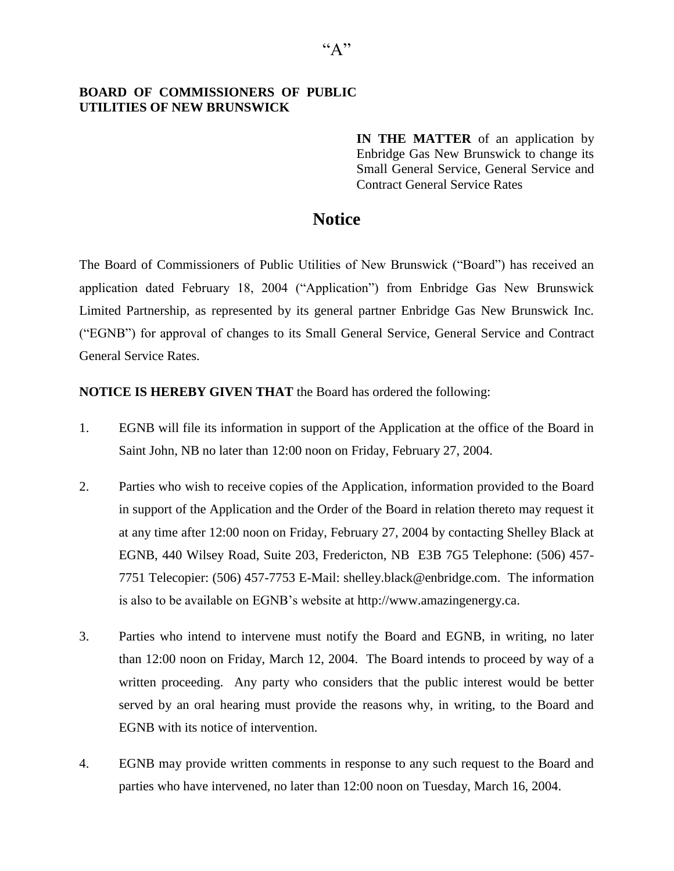## **BOARD OF COMMISSIONERS OF PUBLIC UTILITIES OF NEW BRUNSWICK**

**IN THE MATTER** of an application by Enbridge Gas New Brunswick to change its Small General Service, General Service and Contract General Service Rates

## **Notice**

The Board of Commissioners of Public Utilities of New Brunswick ("Board") has received an application dated February 18, 2004 ("Application") from Enbridge Gas New Brunswick Limited Partnership, as represented by its general partner Enbridge Gas New Brunswick Inc. ("EGNB") for approval of changes to its Small General Service, General Service and Contract General Service Rates.

## **NOTICE IS HEREBY GIVEN THAT** the Board has ordered the following:

- 1. EGNB will file its information in support of the Application at the office of the Board in Saint John, NB no later than 12:00 noon on Friday, February 27, 2004.
- 2. Parties who wish to receive copies of the Application, information provided to the Board in support of the Application and the Order of the Board in relation thereto may request it at any time after 12:00 noon on Friday, February 27, 2004 by contacting Shelley Black at EGNB, 440 Wilsey Road, Suite 203, Fredericton, NB E3B 7G5 Telephone: (506) 457- 7751 Telecopier: (506) 457-7753 E-Mail: [shelley.black@enbridge.com.](mailto:shelley.black@enbridge.com) The information is also to be available on EGNB's website at [http://www.amazingenergy.ca.](http://www.amazingenergy.ca/)
- 3. Parties who intend to intervene must notify the Board and EGNB, in writing, no later than 12:00 noon on Friday, March 12, 2004. The Board intends to proceed by way of a written proceeding. Any party who considers that the public interest would be better served by an oral hearing must provide the reasons why, in writing, to the Board and EGNB with its notice of intervention.
- 4. EGNB may provide written comments in response to any such request to the Board and parties who have intervened, no later than 12:00 noon on Tuesday, March 16, 2004.